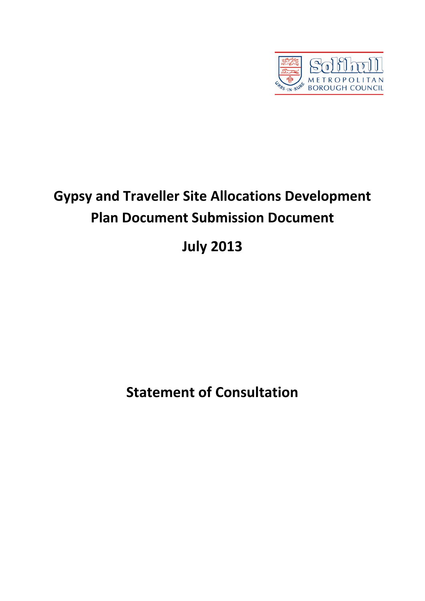

# **Gypsy and Traveller Site Allocations Development Plan Document Submission Document**

## **July 2013**

**Statement of Consultation**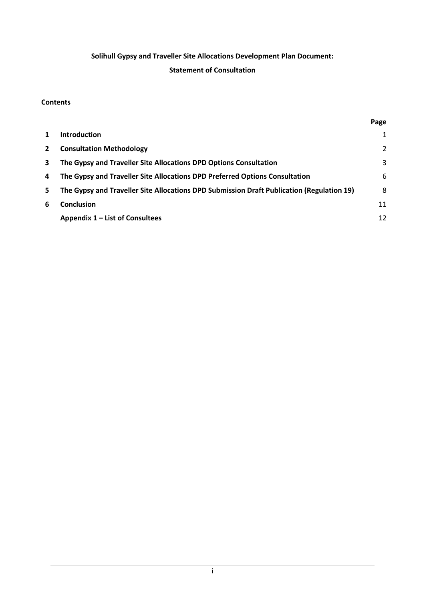## **Solihull Gypsy and Traveller Site Allocations Development Plan Document:**

## **Statement of Consultation**

#### **Contents**

|             |                                                                                           | Page |
|-------------|-------------------------------------------------------------------------------------------|------|
| 1           | <b>Introduction</b>                                                                       | 1    |
| $2^{\circ}$ | <b>Consultation Methodology</b>                                                           | 2    |
| 3           | The Gypsy and Traveller Site Allocations DPD Options Consultation                         | 3    |
| 4           | The Gypsy and Traveller Site Allocations DPD Preferred Options Consultation               | 6    |
| 5.          | The Gypsy and Traveller Site Allocations DPD Submission Draft Publication (Regulation 19) | 8    |
| 6           | <b>Conclusion</b>                                                                         | 11   |
|             | Appendix 1 – List of Consultees                                                           | 12   |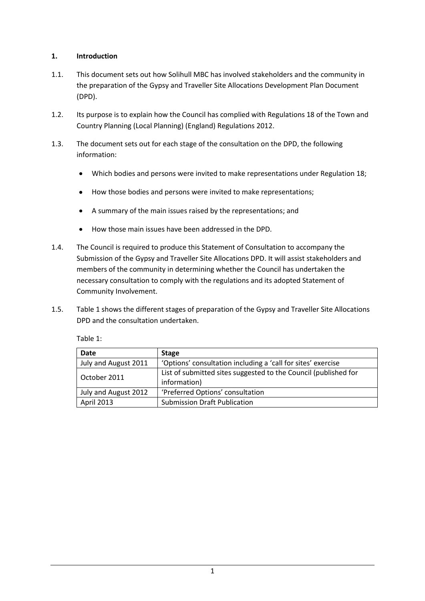## **1. Introduction**

- 1.1. This document sets out how Solihull MBC has involved stakeholders and the community in the preparation of the Gypsy and Traveller Site Allocations Development Plan Document (DPD).
- 1.2. Its purpose is to explain how the Council has complied with Regulations 18 of the Town and Country Planning (Local Planning) (England) Regulations 2012.
- 1.3. The document sets out for each stage of the consultation on the DPD, the following information:
	- Which bodies and persons were invited to make representations under Regulation 18;  $\bullet$
	- How those bodies and persons were invited to make representations;
	- A summary of the main issues raised by the representations; and
	- How those main issues have been addressed in the DPD.  $\bullet$
- 1.4. The Council is required to produce this Statement of Consultation to accompany the Submission of the Gypsy and Traveller Site Allocations DPD. It will assist stakeholders and members of the community in determining whether the Council has undertaken the necessary consultation to comply with the regulations and its adopted Statement of Community Involvement.
- 1.5. Table 1 shows the different stages of preparation of the Gypsy and Traveller Site Allocations DPD and the consultation undertaken.

Table 1:

| <b>Date</b>          | <b>Stage</b>                                                                    |
|----------------------|---------------------------------------------------------------------------------|
| July and August 2011 | 'Options' consultation including a 'call for sites' exercise                    |
| October 2011         | List of submitted sites suggested to the Council (published for<br>information) |
| July and August 2012 | 'Preferred Options' consultation                                                |
| April 2013           | <b>Submission Draft Publication</b>                                             |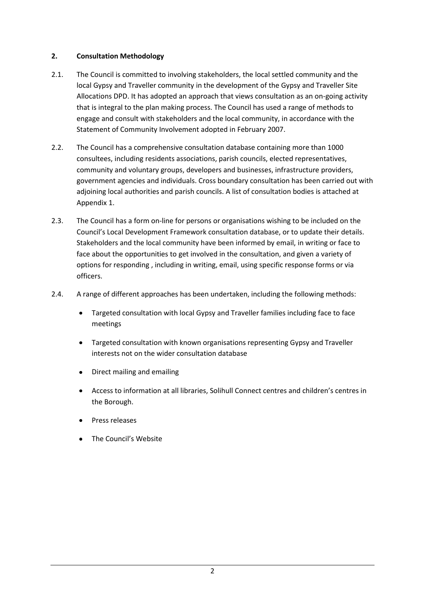## **2. Consultation Methodology**

- 2.1. The Council is committed to involving stakeholders, the local settled community and the local Gypsy and Traveller community in the development of the Gypsy and Traveller Site Allocations DPD. It has adopted an approach that views consultation as an on-going activity that is integral to the plan making process. The Council has used a range of methods to engage and consult with stakeholders and the local community, in accordance with the Statement of Community Involvement adopted in February 2007.
- 2.2. The Council has a comprehensive consultation database containing more than 1000 consultees, including residents associations, parish councils, elected representatives, community and voluntary groups, developers and businesses, infrastructure providers, government agencies and individuals. Cross boundary consultation has been carried out with adjoining local authorities and parish councils. A list of consultation bodies is attached at Appendix 1.
- 2.3. The Council has a form on-line for persons or organisations wishing to be included on the Council's Local Development Framework consultation database, or to update their details. Stakeholders and the local community have been informed by email, in writing or face to face about the opportunities to get involved in the consultation, and given a variety of options for responding , including in writing, email, using specific response forms or via officers.
- 2.4. A range of different approaches has been undertaken, including the following methods:
	- Targeted consultation with local Gypsy and Traveller families including face to face meetings
	- Targeted consultation with known organisations representing Gypsy and Traveller interests not on the wider consultation database
	- Direct mailing and emailing
	- Access to information at all libraries, Solihull Connect centres and children's centres in the Borough.
	- Press releases
	- The Council's Website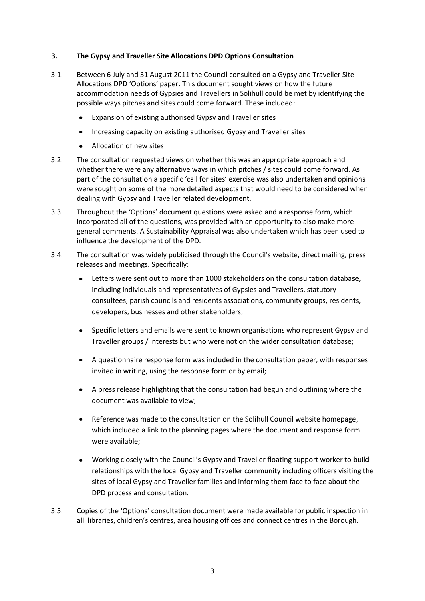## **3. The Gypsy and Traveller Site Allocations DPD Options Consultation**

- 3.1. Between 6 July and 31 August 2011 the Council consulted on a Gypsy and Traveller Site Allocations DPD 'Options' paper. This document sought views on how the future accommodation needs of Gypsies and Travellers in Solihull could be met by identifying the possible ways pitches and sites could come forward. These included:
	- Expansion of existing authorised Gypsy and Traveller sites
	- Increasing capacity on existing authorised Gypsy and Traveller sites
	- Allocation of new sites
- 3.2. The consultation requested views on whether this was an appropriate approach and whether there were any alternative ways in which pitches / sites could come forward. As part of the consultation a specific 'call for sites' exercise was also undertaken and opinions were sought on some of the more detailed aspects that would need to be considered when dealing with Gypsy and Traveller related development.
- 3.3. Throughout the 'Options' document questions were asked and a response form, which incorporated all of the questions, was provided with an opportunity to also make more general comments. A Sustainability Appraisal was also undertaken which has been used to influence the development of the DPD.
- 3.4. The consultation was widely publicised through the Council's website, direct mailing, press releases and meetings. Specifically:
	- Letters were sent out to more than 1000 stakeholders on the consultation database, including individuals and representatives of Gypsies and Travellers, statutory consultees, parish councils and residents associations, community groups, residents, developers, businesses and other stakeholders;
	- Specific letters and emails were sent to known organisations who represent Gypsy and Traveller groups / interests but who were not on the wider consultation database;
	- A questionnaire response form was included in the consultation paper, with responses invited in writing, using the response form or by email;
	- A press release highlighting that the consultation had begun and outlining where the document was available to view;
	- Reference was made to the consultation on the Solihull Council website homepage, which included a link to the planning pages where the document and response form were available;
	- Working closely with the Council's Gypsy and Traveller floating support worker to build relationships with the local Gypsy and Traveller community including officers visiting the sites of local Gypsy and Traveller families and informing them face to face about the DPD process and consultation.
- 3.5. Copies of the 'Options' consultation document were made available for public inspection in all libraries, children's centres, area housing offices and connect centres in the Borough.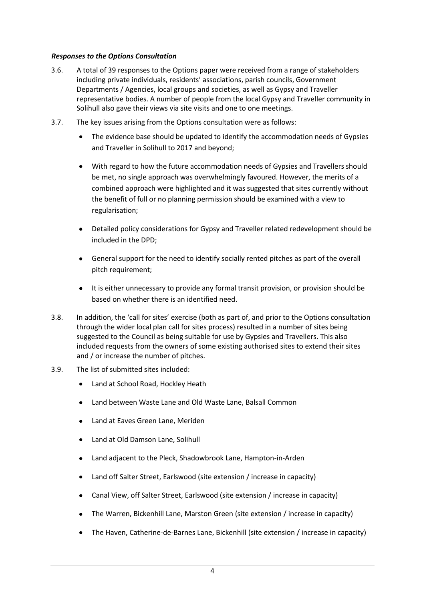#### *Responses to the Options Consultation*

- 3.6. A total of 39 responses to the Options paper were received from a range of stakeholders including private individuals, residents' associations, parish councils, Government Departments / Agencies, local groups and societies, as well as Gypsy and Traveller representative bodies. A number of people from the local Gypsy and Traveller community in Solihull also gave their views via site visits and one to one meetings.
- 3.7. The key issues arising from the Options consultation were as follows:
	- The evidence base should be updated to identify the accommodation needs of Gypsies and Traveller in Solihull to 2017 and beyond;
	- With regard to how the future accommodation needs of Gypsies and Travellers should be met, no single approach was overwhelmingly favoured. However, the merits of a combined approach were highlighted and it was suggested that sites currently without the benefit of full or no planning permission should be examined with a view to regularisation;
	- Detailed policy considerations for Gypsy and Traveller related redevelopment should be included in the DPD;
	- General support for the need to identify socially rented pitches as part of the overall pitch requirement;
	- It is either unnecessary to provide any formal transit provision, or provision should be based on whether there is an identified need.
- 3.8. In addition, the 'call for sites' exercise (both as part of, and prior to the Options consultation through the wider local plan call for sites process) resulted in a number of sites being suggested to the Council as being suitable for use by Gypsies and Travellers. This also included requests from the owners of some existing authorised sites to extend their sites and / or increase the number of pitches.
- 3.9. The list of submitted sites included:
	- Land at School Road, Hockley Heath
	- Land between Waste Lane and Old Waste Lane, Balsall Common
	- Land at Eaves Green Lane, Meriden
	- Land at Old Damson Lane, Solihull
	- Land adjacent to the Pleck, Shadowbrook Lane, Hampton-in-Arden
	- Land off Salter Street, Earlswood (site extension / increase in capacity)
	- Canal View, off Salter Street, Earlswood (site extension / increase in capacity)
	- The Warren, Bickenhill Lane, Marston Green (site extension / increase in capacity)
	- The Haven, Catherine-de-Barnes Lane, Bickenhill (site extension / increase in capacity)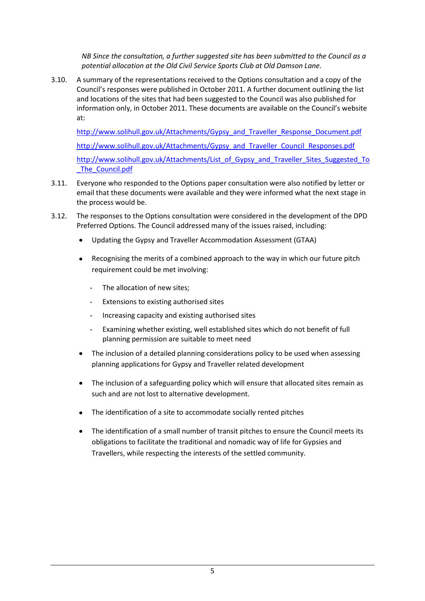*NB Since the consultation, a further suggested site has been submitted to the Council as a potential allocation at the Old Civil Service Sports Club at Old Damson Lane.* 

3.10. A summary of the representations received to the Options consultation and a copy of the Council's responses were published in October 2011. A further document outlining the list and locations of the sites that had been suggested to the Council was also published for information only, in October 2011. These documents are available on the Council's website at:

[http://www.solihull.gov.uk/Attachments/Gypsy\\_and\\_Traveller\\_Response\\_Document.pdf](http://www.solihull.gov.uk/Attachments/Gypsy_and_Traveller_Response_Document.pdf) [http://www.solihull.gov.uk/Attachments/Gypsy\\_and\\_Traveller\\_Council\\_Responses.pdf](http://www.solihull.gov.uk/Attachments/Gypsy_and_Traveller_Council_Responses.pdf) [http://www.solihull.gov.uk/Attachments/List\\_of\\_Gypsy\\_and\\_Traveller\\_Sites\\_Suggested\\_To](http://www.solihull.gov.uk/Attachments/List_of_Gypsy_and_Traveller_Sites_Suggested_To_The_Council.pdf) The Council.pdf

- 3.11. Everyone who responded to the Options paper consultation were also notified by letter or email that these documents were available and they were informed what the next stage in the process would be.
- 3.12. The responses to the Options consultation were considered in the development of the DPD Preferred Options. The Council addressed many of the issues raised, including:
	- Updating the Gypsy and Traveller Accommodation Assessment (GTAA)
	- Recognising the merits of a combined approach to the way in which our future pitch requirement could be met involving:
		- The allocation of new sites;
		- Extensions to existing authorised sites
		- Increasing capacity and existing authorised sites
		- Examining whether existing, well established sites which do not benefit of full planning permission are suitable to meet need
	- The inclusion of a detailed planning considerations policy to be used when assessing planning applications for Gypsy and Traveller related development
	- The inclusion of a safeguarding policy which will ensure that allocated sites remain as such and are not lost to alternative development.
	- The identification of a site to accommodate socially rented pitches
	- The identification of a small number of transit pitches to ensure the Council meets its obligations to facilitate the traditional and nomadic way of life for Gypsies and Travellers, while respecting the interests of the settled community.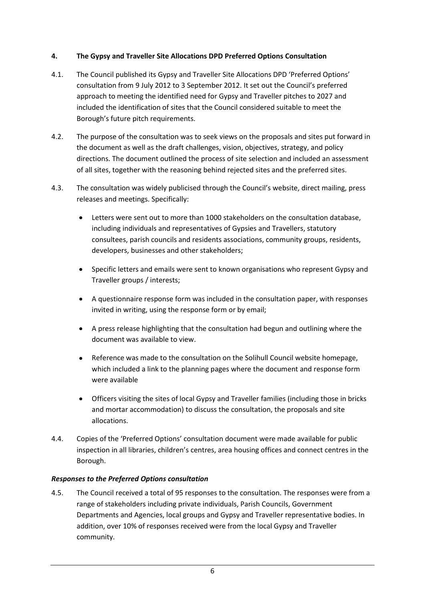## **4. The Gypsy and Traveller Site Allocations DPD Preferred Options Consultation**

- 4.1. The Council published its Gypsy and Traveller Site Allocations DPD 'Preferred Options' consultation from 9 July 2012 to 3 September 2012. It set out the Council's preferred approach to meeting the identified need for Gypsy and Traveller pitches to 2027 and included the identification of sites that the Council considered suitable to meet the Borough's future pitch requirements.
- 4.2. The purpose of the consultation was to seek views on the proposals and sites put forward in the document as well as the draft challenges, vision, objectives, strategy, and policy directions. The document outlined the process of site selection and included an assessment of all sites, together with the reasoning behind rejected sites and the preferred sites.
- 4.3. The consultation was widely publicised through the Council's website, direct mailing, press releases and meetings. Specifically:
	- Letters were sent out to more than 1000 stakeholders on the consultation database, including individuals and representatives of Gypsies and Travellers, statutory consultees, parish councils and residents associations, community groups, residents, developers, businesses and other stakeholders;
	- Specific letters and emails were sent to known organisations who represent Gypsy and Traveller groups / interests;
	- A questionnaire response form was included in the consultation paper, with responses invited in writing, using the response form or by email;
	- A press release highlighting that the consultation had begun and outlining where the document was available to view.
	- Reference was made to the consultation on the Solihull Council website homepage, which included a link to the planning pages where the document and response form were available
	- Officers visiting the sites of local Gypsy and Traveller families (including those in bricks and mortar accommodation) to discuss the consultation, the proposals and site allocations.
- 4.4. Copies of the 'Preferred Options' consultation document were made available for public inspection in all libraries, children's centres, area housing offices and connect centres in the Borough.

#### *Responses to the Preferred Options consultation*

4.5. The Council received a total of 95 responses to the consultation. The responses were from a range of stakeholders including private individuals, Parish Councils, Government Departments and Agencies, local groups and Gypsy and Traveller representative bodies. In addition, over 10% of responses received were from the local Gypsy and Traveller community.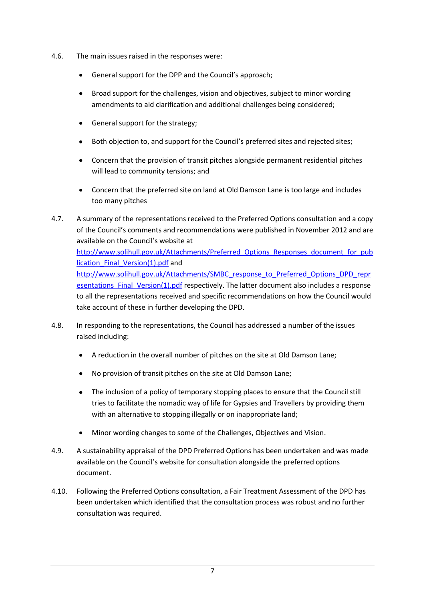- 4.6. The main issues raised in the responses were:
	- General support for the DPP and the Council's approach;
	- Broad support for the challenges, vision and objectives, subject to minor wording amendments to aid clarification and additional challenges being considered;
	- General support for the strategy;
	- Both objection to, and support for the Council's preferred sites and rejected sites;
	- Concern that the provision of transit pitches alongside permanent residential pitches will lead to community tensions; and
	- Concern that the preferred site on land at Old Damson Lane is too large and includes too many pitches
- 4.7. A summary of the representations received to the Preferred Options consultation and a copy of the Council's comments and recommendations were published in November 2012 and are available on the Council's website at [http://www.solihull.gov.uk/Attachments/Preferred\\_Options\\_Responses\\_document\\_for\\_pub](http://www.solihull.gov.uk/Attachments/Preferred_Options_Responses_document_for_publication_Final_Version(1).pdf) lication Final Version(1).pdf and [http://www.solihull.gov.uk/Attachments/SMBC\\_response\\_to\\_Preferred\\_Options\\_DPD\\_repr](http://www.solihull.gov.uk/Attachments/SMBC_response_to_Preferred_Options_DPD_representations_Final_Version(1).pdf) esentations Final Version(1).pdf respectively. The latter document also includes a response to all the representations received and specific recommendations on how the Council would take account of these in further developing the DPD.
- 4.8. In responding to the representations, the Council has addressed a number of the issues raised including:
	- A reduction in the overall number of pitches on the site at Old Damson Lane;
	- No provision of transit pitches on the site at Old Damson Lane;
	- The inclusion of a policy of temporary stopping places to ensure that the Council still tries to facilitate the nomadic way of life for Gypsies and Travellers by providing them with an alternative to stopping illegally or on inappropriate land;
	- Minor wording changes to some of the Challenges, Objectives and Vision.
- 4.9. A sustainability appraisal of the DPD Preferred Options has been undertaken and was made available on the Council's website for consultation alongside the preferred options document.
- 4.10. Following the Preferred Options consultation, a Fair Treatment Assessment of the DPD has been undertaken which identified that the consultation process was robust and no further consultation was required.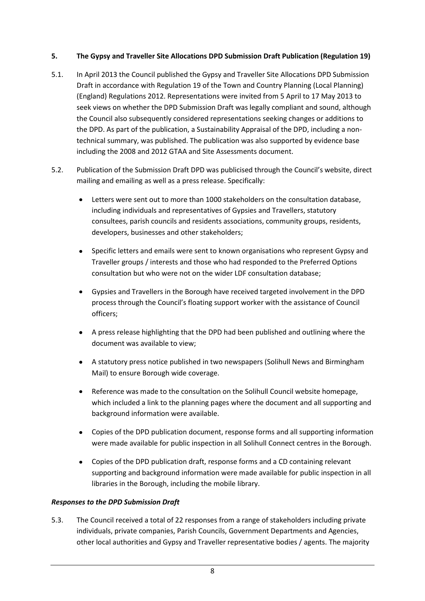## **5. The Gypsy and Traveller Site Allocations DPD Submission Draft Publication (Regulation 19)**

- 5.1. In April 2013 the Council published the Gypsy and Traveller Site Allocations DPD Submission Draft in accordance with Regulation 19 of the Town and Country Planning (Local Planning) (England) Regulations 2012. Representations were invited from 5 April to 17 May 2013 to seek views on whether the DPD Submission Draft was legally compliant and sound, although the Council also subsequently considered representations seeking changes or additions to the DPD. As part of the publication, a Sustainability Appraisal of the DPD, including a nontechnical summary, was published. The publication was also supported by evidence base including the 2008 and 2012 GTAA and Site Assessments document.
- 5.2. Publication of the Submission Draft DPD was publicised through the Council's website, direct mailing and emailing as well as a press release. Specifically:
	- Letters were sent out to more than 1000 stakeholders on the consultation database, including individuals and representatives of Gypsies and Travellers, statutory consultees, parish councils and residents associations, community groups, residents, developers, businesses and other stakeholders;
	- Specific letters and emails were sent to known organisations who represent Gypsy and Traveller groups / interests and those who had responded to the Preferred Options consultation but who were not on the wider LDF consultation database;
	- Gypsies and Travellers in the Borough have received targeted involvement in the DPD process through the Council's floating support worker with the assistance of Council officers;
	- A press release highlighting that the DPD had been published and outlining where the document was available to view;
	- A statutory press notice published in two newspapers (Solihull News and Birmingham Mail) to ensure Borough wide coverage.
	- Reference was made to the consultation on the Solihull Council website homepage, which included a link to the planning pages where the document and all supporting and background information were available.
	- Copies of the DPD publication document, response forms and all supporting information were made available for public inspection in all Solihull Connect centres in the Borough.
	- Copies of the DPD publication draft, response forms and a CD containing relevant supporting and background information were made available for public inspection in all libraries in the Borough, including the mobile library.

## *Responses to the DPD Submission Draft*

5.3. The Council received a total of 22 responses from a range of stakeholders including private individuals, private companies, Parish Councils, Government Departments and Agencies, other local authorities and Gypsy and Traveller representative bodies / agents. The majority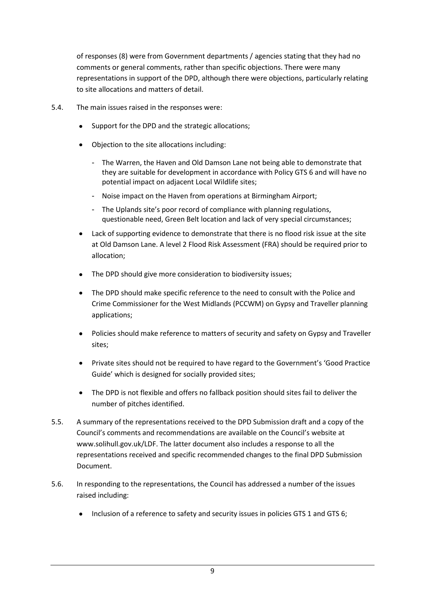of responses (8) were from Government departments / agencies stating that they had no comments or general comments, rather than specific objections. There were many representations in support of the DPD, although there were objections, particularly relating to site allocations and matters of detail.

- 5.4. The main issues raised in the responses were:
	- Support for the DPD and the strategic allocations;
	- Objection to the site allocations including:
		- The Warren, the Haven and Old Damson Lane not being able to demonstrate that they are suitable for development in accordance with Policy GTS 6 and will have no potential impact on adjacent Local Wildlife sites;
		- Noise impact on the Haven from operations at Birmingham Airport;
		- The Uplands site's poor record of compliance with planning regulations, questionable need, Green Belt location and lack of very special circumstances;
	- Lack of supporting evidence to demonstrate that there is no flood risk issue at the site at Old Damson Lane. A level 2 Flood Risk Assessment (FRA) should be required prior to allocation;
	- The DPD should give more consideration to biodiversity issues;
	- The DPD should make specific reference to the need to consult with the Police and Crime Commissioner for the West Midlands (PCCWM) on Gypsy and Traveller planning applications;
	- Policies should make reference to matters of security and safety on Gypsy and Traveller sites;
	- Private sites should not be required to have regard to the Government's 'Good Practice Guide' which is designed for socially provided sites;
	- The DPD is not flexible and offers no fallback position should sites fail to deliver the number of pitches identified.
- 5.5. A summary of the representations received to the DPD Submission draft and a copy of the Council's comments and recommendations are available on the Council's website at www.solihull.gov.uk/LDF. The latter document also includes a response to all the representations received and specific recommended changes to the final DPD Submission Document.
- 5.6. In responding to the representations, the Council has addressed a number of the issues raised including:
	- Inclusion of a reference to safety and security issues in policies GTS 1 and GTS 6;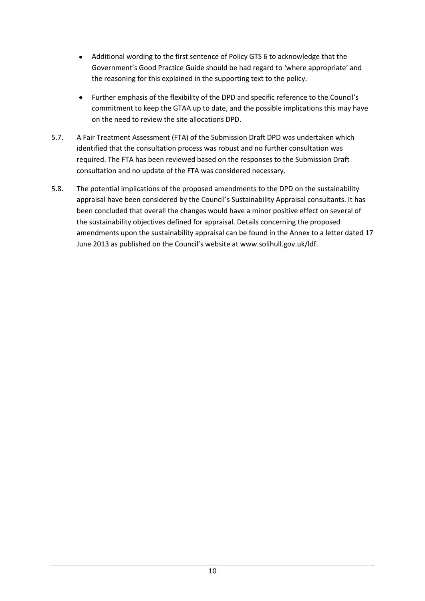- Additional wording to the first sentence of Policy GTS 6 to acknowledge that the Government's Good Practice Guide should be had regard to 'where appropriate' and the reasoning for this explained in the supporting text to the policy.
- Further emphasis of the flexibility of the DPD and specific reference to the Council's commitment to keep the GTAA up to date, and the possible implications this may have on the need to review the site allocations DPD.
- 5.7. A Fair Treatment Assessment (FTA) of the Submission Draft DPD was undertaken which identified that the consultation process was robust and no further consultation was required. The FTA has been reviewed based on the responses to the Submission Draft consultation and no update of the FTA was considered necessary.
- 5.8. The potential implications of the proposed amendments to the DPD on the sustainability appraisal have been considered by the Council's Sustainability Appraisal consultants. It has been concluded that overall the changes would have a minor positive effect on several of the sustainability objectives defined for appraisal. Details concerning the proposed amendments upon the sustainability appraisal can be found in the Annex to a letter dated 17 June 2013 as published on the Council's website at www.solihull.gov.uk/ldf.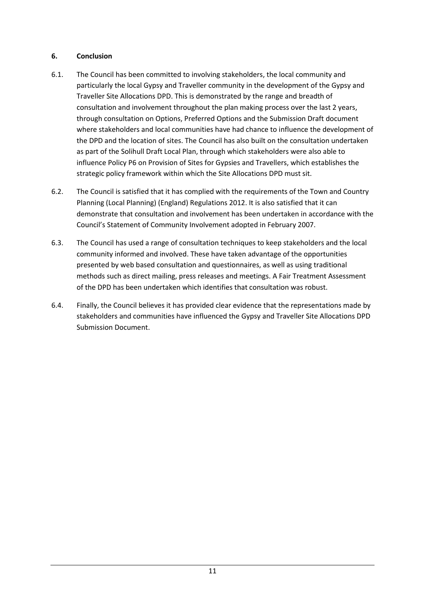## **6. Conclusion**

- 6.1. The Council has been committed to involving stakeholders, the local community and particularly the local Gypsy and Traveller community in the development of the Gypsy and Traveller Site Allocations DPD. This is demonstrated by the range and breadth of consultation and involvement throughout the plan making process over the last 2 years, through consultation on Options, Preferred Options and the Submission Draft document where stakeholders and local communities have had chance to influence the development of the DPD and the location of sites. The Council has also built on the consultation undertaken as part of the Solihull Draft Local Plan, through which stakeholders were also able to influence Policy P6 on Provision of Sites for Gypsies and Travellers, which establishes the strategic policy framework within which the Site Allocations DPD must sit.
- 6.2. The Council is satisfied that it has complied with the requirements of the Town and Country Planning (Local Planning) (England) Regulations 2012. It is also satisfied that it can demonstrate that consultation and involvement has been undertaken in accordance with the Council's Statement of Community Involvement adopted in February 2007.
- 6.3. The Council has used a range of consultation techniques to keep stakeholders and the local community informed and involved. These have taken advantage of the opportunities presented by web based consultation and questionnaires, as well as using traditional methods such as direct mailing, press releases and meetings. A Fair Treatment Assessment of the DPD has been undertaken which identifies that consultation was robust.
- 6.4. Finally, the Council believes it has provided clear evidence that the representations made by stakeholders and communities have influenced the Gypsy and Traveller Site Allocations DPD Submission Document.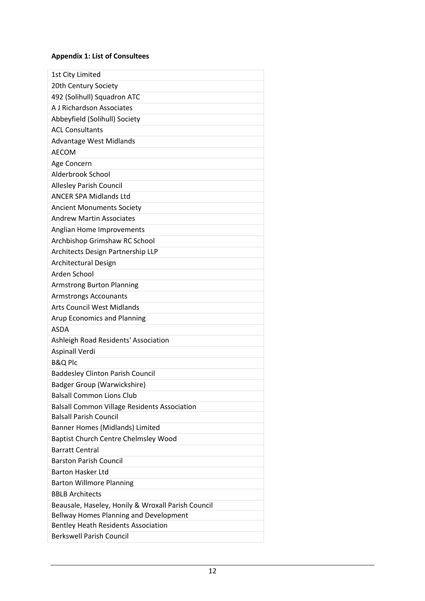## **Appendix 1: List of Consultees**

| 1st City Limited<br>20th Century Society            |
|-----------------------------------------------------|
| 492 (Solihull) Squadron ATC                         |
| A J Richardson Associates                           |
| Abbeyfield (Solihull) Society                       |
| <b>ACL Consultants</b>                              |
| <b>Advantage West Midlands</b>                      |
| <b>AECOM</b>                                        |
| Age Concern                                         |
| Alderbrook School                                   |
| <b>Allesley Parish Council</b>                      |
| <b>ANCER SPA Midlands Ltd</b>                       |
| <b>Ancient Monuments Society</b>                    |
| <b>Andrew Martin Associates</b>                     |
|                                                     |
| Anglian Home Improvements                           |
| Archbishop Grimshaw RC School                       |
| Architects Design Partnership LLP                   |
| <b>Architectural Design</b><br>Arden School         |
|                                                     |
| <b>Armstrong Burton Planning</b>                    |
| <b>Armstrongs Accounants</b>                        |
| <b>Arts Council West Midlands</b>                   |
| <b>Arup Economics and Planning</b>                  |
| <b>ASDA</b>                                         |
| Ashleigh Road Residents' Association                |
| <b>Aspinall Verdi</b>                               |
| <b>B&amp;Q Plc</b>                                  |
| <b>Baddesley Clinton Parish Council</b>             |
| <b>Badger Group (Warwickshire)</b>                  |
| <b>Balsall Common Lions Club</b>                    |
| <b>Balsall Common Village Residents Association</b> |
| <b>Balsall Parish Council</b>                       |
| <b>Banner Homes (Midlands) Limited</b>              |
| <b>Baptist Church Centre Chelmsley Wood</b>         |
| <b>Barratt Central</b>                              |
| <b>Barston Parish Council</b>                       |
| <b>Barton Hasker Ltd</b>                            |
| <b>Barton Willmore Planning</b>                     |
| <b>BBLB Architects</b>                              |
| Beausale, Haseley, Honily & Wroxall Parish Council  |
| Bellway Homes Planning and Development              |
| <b>Bentley Heath Residents Association</b>          |
| <b>Berkswell Parish Council</b>                     |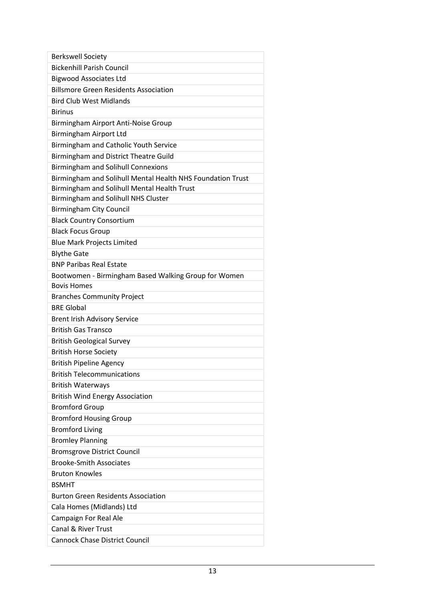| <b>Berkswell Society</b>                                   |
|------------------------------------------------------------|
| <b>Bickenhill Parish Council</b>                           |
| <b>Bigwood Associates Ltd</b>                              |
| <b>Billsmore Green Residents Association</b>               |
| <b>Bird Club West Midlands</b>                             |
| <b>Birinus</b>                                             |
| Birmingham Airport Anti-Noise Group                        |
| <b>Birmingham Airport Ltd</b>                              |
| Birmingham and Catholic Youth Service                      |
| Birmingham and District Theatre Guild                      |
| <b>Birmingham and Solihull Connexions</b>                  |
| Birmingham and Solihull Mental Health NHS Foundation Trust |
| Birmingham and Solihull Mental Health Trust                |
| Birmingham and Solihull NHS Cluster                        |
| <b>Birmingham City Council</b>                             |
| <b>Black Country Consortium</b>                            |
| <b>Black Focus Group</b>                                   |
| <b>Blue Mark Projects Limited</b>                          |
| <b>Blythe Gate</b>                                         |
| <b>BNP Paribas Real Estate</b>                             |
| Bootwomen - Birmingham Based Walking Group for Women       |
| <b>Bovis Homes</b>                                         |
| <b>Branches Community Project</b>                          |
| <b>BRE Global</b>                                          |
| <b>Brent Irish Advisory Service</b>                        |
| <b>British Gas Transco</b>                                 |
| <b>British Geological Survey</b>                           |
| <b>British Horse Society</b>                               |
| <b>British Pipeline Agency</b>                             |
| <b>British Telecommunications</b>                          |
| <b>British Waterways</b>                                   |
| <b>British Wind Energy Association</b>                     |
| <b>Bromford Group</b>                                      |
| <b>Bromford Housing Group</b>                              |
| <b>Bromford Living</b>                                     |
| <b>Bromley Planning</b>                                    |
| <b>Bromsgrove District Council</b>                         |
| <b>Brooke-Smith Associates</b>                             |
| <b>Bruton Knowles</b>                                      |
| <b>BSMHT</b>                                               |
| <b>Burton Green Residents Association</b>                  |
| Cala Homes (Midlands) Ltd                                  |
| Campaign For Real Ale                                      |
| <b>Canal &amp; River Trust</b>                             |
| <b>Cannock Chase District Council</b>                      |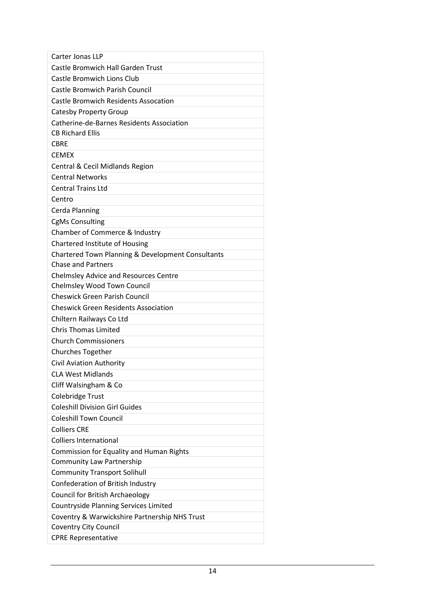| Carter Jonas LLP                                  |
|---------------------------------------------------|
| <b>Castle Bromwich Hall Garden Trust</b>          |
| <b>Castle Bromwich Lions Club</b>                 |
| <b>Castle Bromwich Parish Council</b>             |
| <b>Castle Bromwich Residents Assocation</b>       |
| <b>Catesby Property Group</b>                     |
| Catherine-de-Barnes Residents Association         |
| <b>CB Richard Ellis</b>                           |
| <b>CBRE</b>                                       |
| <b>CEMEX</b>                                      |
| Central & Cecil Midlands Region                   |
| <b>Central Networks</b>                           |
| <b>Central Trains Ltd</b>                         |
| Centro                                            |
| Cerda Planning                                    |
| <b>CgMs Consulting</b>                            |
| Chamber of Commerce & Industry                    |
| Chartered Institute of Housing                    |
| Chartered Town Planning & Development Consultants |
| <b>Chase and Partners</b>                         |
| <b>Chelmsley Advice and Resources Centre</b>      |
| Chelmsley Wood Town Council                       |
| <b>Cheswick Green Parish Council</b>              |
| <b>Cheswick Green Residents Association</b>       |
| Chiltern Railways Co Ltd                          |
| <b>Chris Thomas Limited</b>                       |
| <b>Church Commissioners</b>                       |
| <b>Churches Together</b>                          |
| Civil Aviation Authority                          |
| <b>CLA West Midlands</b>                          |
| Cliff Walsingham & Co                             |
| Colebridge Trust                                  |
| <b>Coleshill Division Girl Guides</b>             |
| <b>Coleshill Town Council</b>                     |
| <b>Colliers CRE</b>                               |
| <b>Colliers International</b>                     |
| <b>Commission for Equality and Human Rights</b>   |
| <b>Community Law Partnership</b>                  |
| <b>Community Transport Solihull</b>               |
| Confederation of British Industry                 |
| <b>Council for British Archaeology</b>            |
| <b>Countryside Planning Services Limited</b>      |
| Coventry & Warwickshire Partnership NHS Trust     |
| <b>Coventry City Council</b>                      |
| <b>CPRE Representative</b>                        |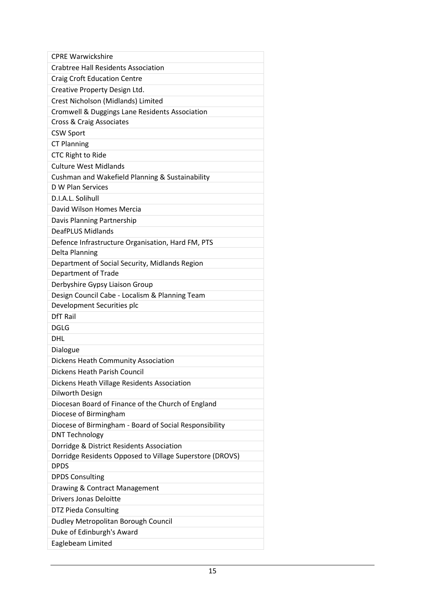| <b>CPRE Warwickshire</b>                                 |
|----------------------------------------------------------|
| <b>Crabtree Hall Residents Association</b>               |
| <b>Craig Croft Education Centre</b>                      |
| Creative Property Design Ltd.                            |
| Crest Nicholson (Midlands) Limited                       |
| Cromwell & Duggings Lane Residents Association           |
| Cross & Craig Associates                                 |
| <b>CSW Sport</b>                                         |
| <b>CT Planning</b>                                       |
| <b>CTC Right to Ride</b>                                 |
| <b>Culture West Midlands</b>                             |
| Cushman and Wakefield Planning & Sustainability          |
| D W Plan Services                                        |
| D.I.A.L. Solihull                                        |
| David Wilson Homes Mercia                                |
| Davis Planning Partnership                               |
| <b>DeafPLUS Midlands</b>                                 |
| Defence Infrastructure Organisation, Hard FM, PTS        |
| Delta Planning                                           |
| Department of Social Security, Midlands Region           |
| Department of Trade                                      |
| Derbyshire Gypsy Liaison Group                           |
| Design Council Cabe - Localism & Planning Team           |
| Development Securities plc                               |
| <b>DfT Rail</b>                                          |
| <b>DGLG</b>                                              |
| DHL                                                      |
| Dialogue                                                 |
| Dickens Heath Community Association                      |
| <b>Dickens Heath Parish Council</b>                      |
| Dickens Heath Village Residents Association              |
| Dilworth Design                                          |
| Diocesan Board of Finance of the Church of England       |
| Diocese of Birmingham                                    |
| Diocese of Birmingham - Board of Social Responsibility   |
| <b>DNT Technology</b>                                    |
| Dorridge & District Residents Association                |
| Dorridge Residents Opposed to Village Superstore (DROVS) |
| <b>DPDS</b>                                              |
| <b>DPDS Consulting</b>                                   |
| Drawing & Contract Management                            |
| <b>Drivers Jonas Deloitte</b>                            |
| <b>DTZ Pieda Consulting</b>                              |
| Dudley Metropolitan Borough Council                      |
| Duke of Edinburgh's Award                                |
| Eaglebeam Limited                                        |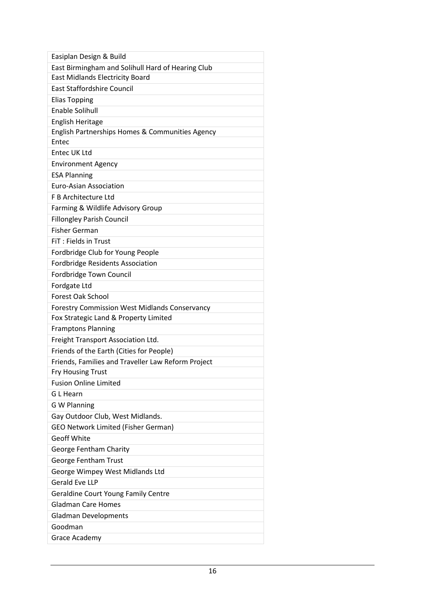| Easiplan Design & Build                              |
|------------------------------------------------------|
| East Birmingham and Solihull Hard of Hearing Club    |
| <b>East Midlands Electricity Board</b>               |
| <b>East Staffordshire Council</b>                    |
| <b>Elias Topping</b>                                 |
| <b>Enable Solihull</b>                               |
| <b>English Heritage</b>                              |
| English Partnerships Homes & Communities Agency      |
| Entec                                                |
| Entec UK Ltd                                         |
| <b>Environment Agency</b>                            |
| <b>ESA Planning</b>                                  |
| <b>Euro-Asian Association</b>                        |
| F B Architecture Ltd                                 |
| Farming & Wildlife Advisory Group                    |
| <b>Fillongley Parish Council</b>                     |
| <b>Fisher German</b>                                 |
| FIT: Fields in Trust                                 |
| Fordbridge Club for Young People                     |
| <b>Fordbridge Residents Association</b>              |
| Fordbridge Town Council                              |
| Fordgate Ltd                                         |
| <b>Forest Oak School</b>                             |
| <b>Forestry Commission West Midlands Conservancy</b> |
| Fox Strategic Land & Property Limited                |
| <b>Framptons Planning</b>                            |
| Freight Transport Association Ltd.                   |
| Friends of the Earth (Cities for People)             |
| Friends, Families and Traveller Law Reform Project   |
| <b>Fry Housing Trust</b>                             |
| <b>Fusion Online Limited</b>                         |
| G L Hearn                                            |
| <b>G W Planning</b>                                  |
| Gay Outdoor Club, West Midlands.                     |
| <b>GEO Network Limited (Fisher German)</b>           |
| <b>Geoff White</b>                                   |
| George Fentham Charity                               |
| George Fentham Trust                                 |
| George Wimpey West Midlands Ltd                      |
| <b>Gerald Eve LLP</b>                                |
| <b>Geraldine Court Young Family Centre</b>           |
| <b>Gladman Care Homes</b>                            |
| <b>Gladman Developments</b>                          |
| Goodman                                              |
| Grace Academy                                        |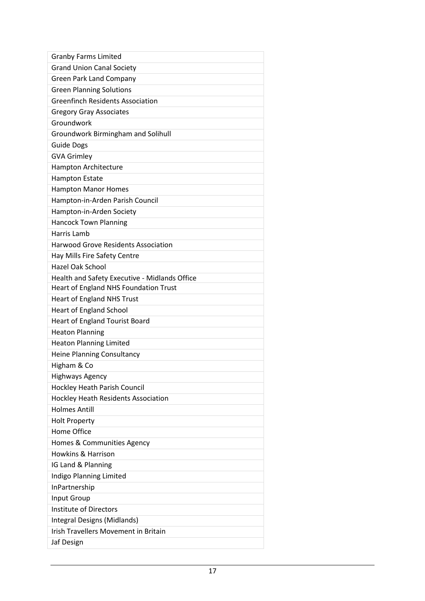| <b>Granby Farms Limited</b>                   |
|-----------------------------------------------|
| <b>Grand Union Canal Society</b>              |
| <b>Green Park Land Company</b>                |
| <b>Green Planning Solutions</b>               |
| <b>Greenfinch Residents Association</b>       |
| <b>Gregory Gray Associates</b>                |
| Groundwork                                    |
| <b>Groundwork Birmingham and Solihull</b>     |
| <b>Guide Dogs</b>                             |
| <b>GVA Grimley</b>                            |
| Hampton Architecture                          |
| <b>Hampton Estate</b>                         |
| <b>Hampton Manor Homes</b>                    |
| Hampton-in-Arden Parish Council               |
| Hampton-in-Arden Society                      |
| <b>Hancock Town Planning</b>                  |
| Harris Lamb                                   |
| <b>Harwood Grove Residents Association</b>    |
| Hay Mills Fire Safety Centre                  |
| <b>Hazel Oak School</b>                       |
| Health and Safety Executive - Midlands Office |
| Heart of England NHS Foundation Trust         |
| <b>Heart of England NHS Trust</b>             |
| <b>Heart of England School</b>                |
| <b>Heart of England Tourist Board</b>         |
| <b>Heaton Planning</b>                        |
| <b>Heaton Planning Limited</b>                |
| <b>Heine Planning Consultancy</b>             |
| Higham & Co                                   |
| <b>Highways Agency</b>                        |
| Hockley Heath Parish Council                  |
| <b>Hockley Heath Residents Association</b>    |
| <b>Holmes Antill</b>                          |
| <b>Holt Property</b>                          |
| Home Office                                   |
| Homes & Communities Agency                    |
| <b>Howkins &amp; Harrison</b>                 |
| IG Land & Planning                            |
| Indigo Planning Limited                       |
| InPartnership                                 |
| Input Group                                   |
| <b>Institute of Directors</b>                 |
| Integral Designs (Midlands)                   |
| <b>Irish Travellers Movement in Britain</b>   |
| Jaf Design                                    |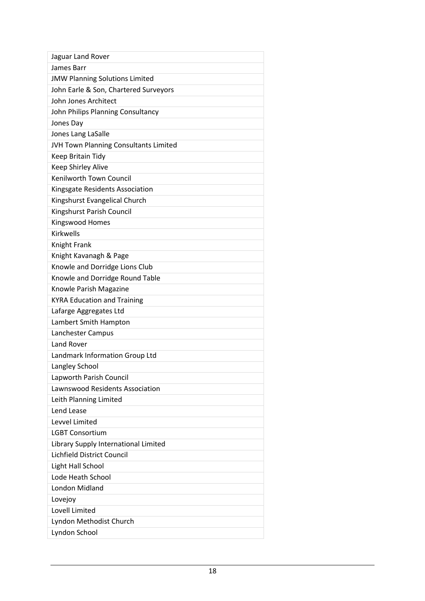| Jaguar Land Rover                            |
|----------------------------------------------|
| James Barr                                   |
| <b>JMW Planning Solutions Limited</b>        |
| John Earle & Son, Chartered Surveyors        |
| John Jones Architect                         |
| John Philips Planning Consultancy            |
| Jones Day                                    |
| Jones Lang LaSalle                           |
| <b>JVH Town Planning Consultants Limited</b> |
| Keep Britain Tidy                            |
| <b>Keep Shirley Alive</b>                    |
| Kenilworth Town Council                      |
| Kingsgate Residents Association              |
| Kingshurst Evangelical Church                |
| Kingshurst Parish Council                    |
| Kingswood Homes                              |
| <b>Kirkwells</b>                             |
| Knight Frank                                 |
| Knight Kavanagh & Page                       |
| Knowle and Dorridge Lions Club               |
| Knowle and Dorridge Round Table              |
| Knowle Parish Magazine                       |
| <b>KYRA Education and Training</b>           |
| Lafarge Aggregates Ltd                       |
| Lambert Smith Hampton                        |
| Lanchester Campus                            |
| <b>Land Rover</b>                            |
| Landmark Information Group Ltd               |
| Langley School                               |
| Lapworth Parish Council                      |
| Lawnswood Residents Association              |
| Leith Planning Limited                       |
| Lend Lease                                   |
| Levvel Limited                               |
| <b>LGBT Consortium</b>                       |
| Library Supply International Limited         |
| Lichfield District Council                   |
| Light Hall School                            |
| Lode Heath School                            |
| <b>London Midland</b>                        |
| Lovejoy                                      |
| Lovell Limited                               |
| Lyndon Methodist Church                      |
| Lyndon School                                |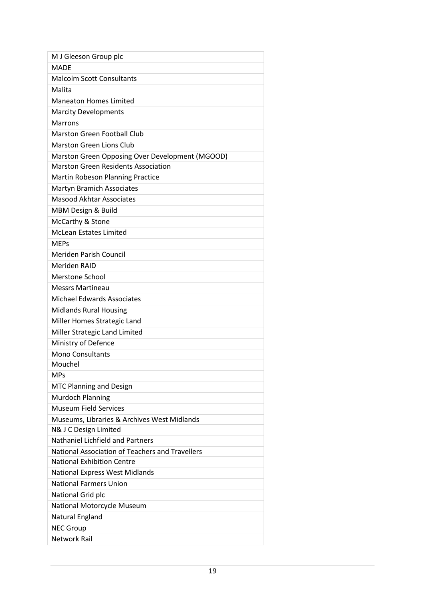| M J Gleeson Group plc                           |
|-------------------------------------------------|
| <b>MADF</b>                                     |
| <b>Malcolm Scott Consultants</b>                |
| Malita                                          |
| <b>Maneaton Homes Limited</b>                   |
| <b>Marcity Developments</b>                     |
| <b>Marrons</b>                                  |
| <b>Marston Green Football Club</b>              |
| <b>Marston Green Lions Club</b>                 |
| Marston Green Opposing Over Development (MGOOD) |
| <b>Marston Green Residents Association</b>      |
| Martin Robeson Planning Practice                |
| <b>Martyn Bramich Associates</b>                |
| <b>Masood Akhtar Associates</b>                 |
| MBM Design & Build                              |
| McCarthy & Stone                                |
| <b>McLean Estates Limited</b>                   |
| <b>MEPs</b>                                     |
| <b>Meriden Parish Council</b>                   |
| Meriden RAID                                    |
| <b>Merstone School</b>                          |
| <b>Messrs Martineau</b>                         |
| <b>Michael Edwards Associates</b>               |
| <b>Midlands Rural Housing</b>                   |
| Miller Homes Strategic Land                     |
| Miller Strategic Land Limited                   |
| Ministry of Defence                             |
| <b>Mono Consultants</b>                         |
| Mouchel                                         |
| <b>MPs</b>                                      |
| <b>MTC Planning and Design</b>                  |
| <b>Murdoch Planning</b>                         |
| <b>Museum Field Services</b>                    |
| Museums, Libraries & Archives West Midlands     |
| N& J C Design Limited                           |
| Nathaniel Lichfield and Partners                |
| National Association of Teachers and Travellers |
| <b>National Exhibition Centre</b>               |
| <b>National Express West Midlands</b>           |
| <b>National Farmers Union</b>                   |
| National Grid plc                               |
| National Motorcycle Museum                      |
| Natural England                                 |
| <b>NEC Group</b>                                |
| <b>Network Rail</b>                             |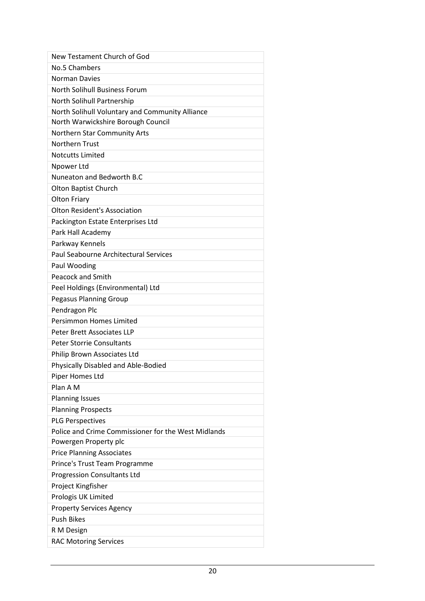| New Testament Church of God                         |
|-----------------------------------------------------|
| No.5 Chambers                                       |
| <b>Norman Davies</b>                                |
| <b>North Solihull Business Forum</b>                |
| North Solihull Partnership                          |
| North Solihull Voluntary and Community Alliance     |
| North Warwickshire Borough Council                  |
| Northern Star Community Arts                        |
| <b>Northern Trust</b>                               |
| <b>Notcutts Limited</b>                             |
| Npower Ltd                                          |
| Nuneaton and Bedworth B.C                           |
| Olton Baptist Church                                |
| <b>Olton Friary</b>                                 |
| <b>Olton Resident's Association</b>                 |
| Packington Estate Enterprises Ltd                   |
| Park Hall Academy                                   |
| Parkway Kennels                                     |
| Paul Seabourne Architectural Services               |
| Paul Wooding                                        |
| <b>Peacock and Smith</b>                            |
| Peel Holdings (Environmental) Ltd                   |
| <b>Pegasus Planning Group</b>                       |
| Pendragon Plc                                       |
| <b>Persimmon Homes Limited</b>                      |
| Peter Brett Associates LLP                          |
| <b>Peter Storrie Consultants</b>                    |
| Philip Brown Associates Ltd                         |
| Physically Disabled and Able-Bodied                 |
| Piper Homes Ltd                                     |
| Plan A M                                            |
| <b>Planning Issues</b>                              |
| <b>Planning Prospects</b>                           |
| <b>PLG Perspectives</b>                             |
| Police and Crime Commissioner for the West Midlands |
| Powergen Property plc                               |
| <b>Price Planning Associates</b>                    |
| Prince's Trust Team Programme                       |
| <b>Progression Consultants Ltd</b>                  |
| Project Kingfisher                                  |
| Prologis UK Limited                                 |
| <b>Property Services Agency</b>                     |
| <b>Push Bikes</b>                                   |
| R M Design                                          |
| <b>RAC Motoring Services</b>                        |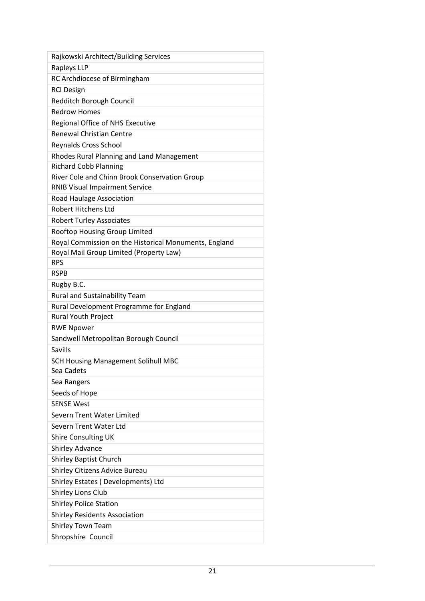| Rajkowski Architect/Building Services                 |
|-------------------------------------------------------|
| Rapleys LLP                                           |
| RC Archdiocese of Birmingham                          |
| <b>RCI Design</b>                                     |
| Redditch Borough Council                              |
| <b>Redrow Homes</b>                                   |
| Regional Office of NHS Executive                      |
| <b>Renewal Christian Centre</b>                       |
| <b>Reynalds Cross School</b>                          |
| Rhodes Rural Planning and Land Management             |
| <b>Richard Cobb Planning</b>                          |
| River Cole and Chinn Brook Conservation Group         |
| <b>RNIB Visual Impairment Service</b>                 |
| Road Haulage Association                              |
| <b>Robert Hitchens Ltd</b>                            |
| <b>Robert Turley Associates</b>                       |
| Rooftop Housing Group Limited                         |
| Royal Commission on the Historical Monuments, England |
| Royal Mail Group Limited (Property Law)               |
| <b>RPS</b>                                            |
| <b>RSPB</b>                                           |
| Rugby B.C.                                            |
| <b>Rural and Sustainability Team</b>                  |
| Rural Development Programme for England               |
| <b>Rural Youth Project</b>                            |
| <b>RWE Npower</b>                                     |
| Sandwell Metropolitan Borough Council                 |
| Savills                                               |
| <b>SCH Housing Management Solihull MBC</b>            |
| Sea Cadets                                            |
| Sea Rangers                                           |
| Seeds of Hope                                         |
| <b>SENSE West</b>                                     |
| Severn Trent Water Limited                            |
| Severn Trent Water Ltd                                |
| <b>Shire Consulting UK</b>                            |
| <b>Shirley Advance</b>                                |
| <b>Shirley Baptist Church</b>                         |
| Shirley Citizens Advice Bureau                        |
| Shirley Estates (Developments) Ltd                    |
| Shirley Lions Club                                    |
| <b>Shirley Police Station</b>                         |
| <b>Shirley Residents Association</b>                  |
| Shirley Town Team                                     |
| Shropshire Council                                    |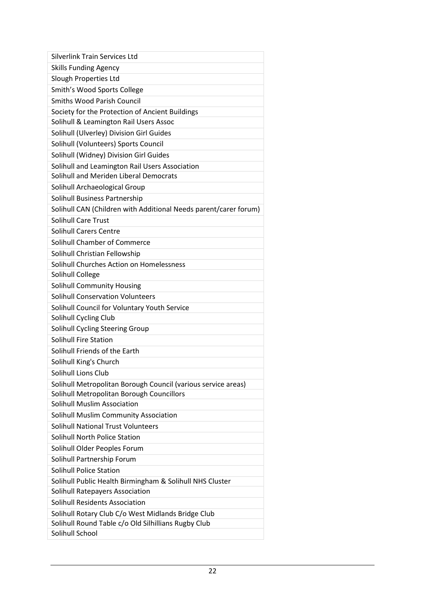| <b>Silverlink Train Services Ltd</b>                             |
|------------------------------------------------------------------|
| <b>Skills Funding Agency</b>                                     |
| Slough Properties Ltd                                            |
| Smith's Wood Sports College                                      |
| <b>Smiths Wood Parish Council</b>                                |
| Society for the Protection of Ancient Buildings                  |
| Solihull & Leamington Rail Users Assoc                           |
| Solihull (Ulverley) Division Girl Guides                         |
| Solihull (Volunteers) Sports Council                             |
| Solihull (Widney) Division Girl Guides                           |
| Solihull and Leamington Rail Users Association                   |
| Solihull and Meriden Liberal Democrats                           |
| Solihull Archaeological Group                                    |
| Solihull Business Partnership                                    |
| Solihull CAN (Children with Additional Needs parent/carer forum) |
| <b>Solihull Care Trust</b>                                       |
| <b>Solihull Carers Centre</b>                                    |
| Solihull Chamber of Commerce                                     |
| Solihull Christian Fellowship                                    |
| Solihull Churches Action on Homelessness                         |
| Solihull College                                                 |
| <b>Solihull Community Housing</b>                                |
| <b>Solihull Conservation Volunteers</b>                          |
| Solihull Council for Voluntary Youth Service                     |
| Solihull Cycling Club                                            |
| Solihull Cycling Steering Group                                  |
| Solihull Fire Station                                            |
| Solihull Friends of the Earth                                    |
| Solihull King's Church                                           |
| Solihull Lions Club                                              |
| Solihull Metropolitan Borough Council (various service areas)    |
| Solihull Metropolitan Borough Councillors                        |
| <b>Solihull Muslim Association</b>                               |
| Solihull Muslim Community Association                            |
| <b>Solihull National Trust Volunteers</b>                        |
| <b>Solihull North Police Station</b>                             |
| Solihull Older Peoples Forum                                     |
| Solihull Partnership Forum                                       |
| <b>Solihull Police Station</b>                                   |
| Solihull Public Health Birmingham & Solihull NHS Cluster         |
| Solihull Ratepayers Association                                  |
| Solihull Residents Association                                   |
| Solihull Rotary Club C/o West Midlands Bridge Club               |
| Solihull Round Table c/o Old Silhillians Rugby Club              |
| Solihull School                                                  |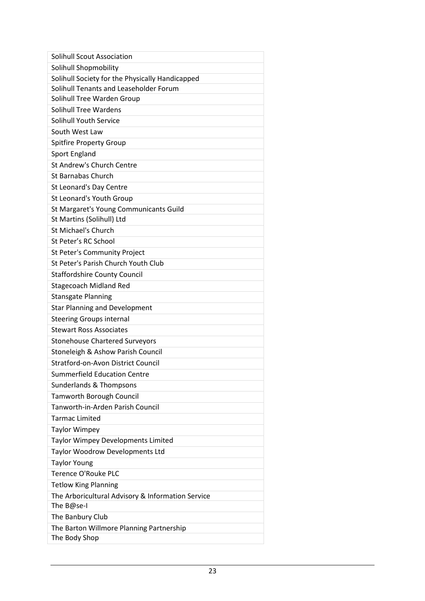| <b>Solihull Scout Association</b>                 |
|---------------------------------------------------|
| Solihull Shopmobility                             |
| Solihull Society for the Physically Handicapped   |
| Solihull Tenants and Leaseholder Forum            |
| Solihull Tree Warden Group                        |
| <b>Solihull Tree Wardens</b>                      |
| <b>Solihull Youth Service</b>                     |
| South West Law                                    |
| <b>Spitfire Property Group</b>                    |
| Sport England                                     |
| St Andrew's Church Centre                         |
| <b>St Barnabas Church</b>                         |
| St Leonard's Day Centre                           |
| St Leonard's Youth Group                          |
| St Margaret's Young Communicants Guild            |
| St Martins (Solihull) Ltd                         |
| St Michael's Church                               |
| St Peter's RC School                              |
| St Peter's Community Project                      |
| St Peter's Parish Church Youth Club               |
| <b>Staffordshire County Council</b>               |
| <b>Stagecoach Midland Red</b>                     |
| <b>Stansgate Planning</b>                         |
| <b>Star Planning and Development</b>              |
| <b>Steering Groups internal</b>                   |
| <b>Stewart Ross Associates</b>                    |
| <b>Stonehouse Chartered Surveyors</b>             |
| Stoneleigh & Ashow Parish Council                 |
| <b>Stratford-on-Avon District Council</b>         |
| <b>Summerfield Education Centre</b>               |
| Sunderlands & Thompsons                           |
| <b>Tamworth Borough Council</b>                   |
| Tanworth-in-Arden Parish Council                  |
| <b>Tarmac Limited</b>                             |
| <b>Taylor Wimpey</b>                              |
| Taylor Wimpey Developments Limited                |
| Taylor Woodrow Developments Ltd                   |
| <b>Taylor Young</b>                               |
| <b>Terence O'Rouke PLC</b>                        |
| <b>Tetlow King Planning</b>                       |
| The Arboricultural Advisory & Information Service |
| The B@se-I                                        |
| The Banbury Club                                  |
| The Barton Willmore Planning Partnership          |
| The Body Shop                                     |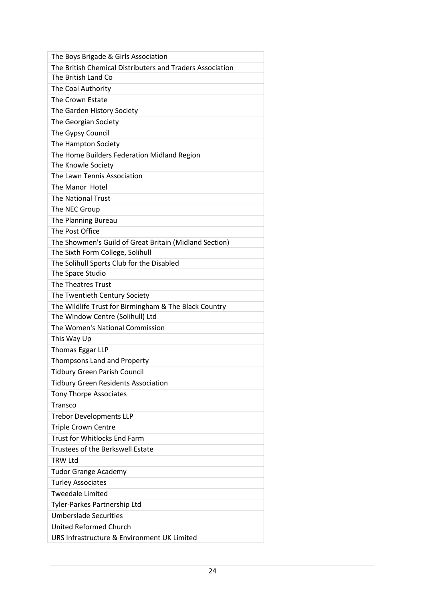| The Boys Brigade & Girls Association                      |
|-----------------------------------------------------------|
| The British Chemical Distributers and Traders Association |
| The British Land Co                                       |
| The Coal Authority                                        |
| The Crown Estate                                          |
| The Garden History Society                                |
| The Georgian Society                                      |
| The Gypsy Council                                         |
| The Hampton Society                                       |
| The Home Builders Federation Midland Region               |
| The Knowle Society                                        |
| The Lawn Tennis Association                               |
| The Manor Hotel                                           |
| <b>The National Trust</b>                                 |
| The NEC Group                                             |
| The Planning Bureau                                       |
| The Post Office                                           |
| The Showmen's Guild of Great Britain (Midland Section)    |
| The Sixth Form College, Solihull                          |
| The Solihull Sports Club for the Disabled                 |
| The Space Studio                                          |
| The Theatres Trust                                        |
| The Twentieth Century Society                             |
| The Wildlife Trust for Birmingham & The Black Country     |
| The Window Centre (Solihull) Ltd                          |
| The Women's National Commission                           |
| This Way Up                                               |
| <b>Thomas Eggar LLP</b>                                   |
| Thompsons Land and Property                               |
| Tidbury Green Parish Council                              |
| <b>Tidbury Green Residents Association</b>                |
| <b>Tony Thorpe Associates</b>                             |
| Transco                                                   |
| <b>Trebor Developments LLP</b>                            |
| <b>Triple Crown Centre</b>                                |
| <b>Trust for Whitlocks End Farm</b>                       |
| Trustees of the Berkswell Estate                          |
| <b>TRW Ltd</b>                                            |
| <b>Tudor Grange Academy</b>                               |
| <b>Turley Associates</b>                                  |
| <b>Tweedale Limited</b>                                   |
| Tyler-Parkes Partnership Ltd                              |
| <b>Umberslade Securities</b>                              |
| <b>United Reformed Church</b>                             |
| URS Infrastructure & Environment UK Limited               |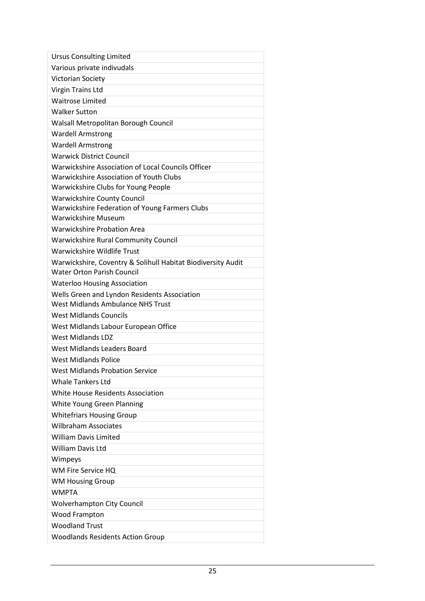| <b>Ursus Consulting Limited</b>                              |
|--------------------------------------------------------------|
| Various private indivudals                                   |
| Victorian Society                                            |
| <b>Virgin Trains Ltd</b>                                     |
| <b>Waitrose Limited</b>                                      |
| <b>Walker Sutton</b>                                         |
| Walsall Metropolitan Borough Council                         |
| <b>Wardell Armstrong</b>                                     |
| <b>Wardell Armstrong</b>                                     |
| <b>Warwick District Council</b>                              |
| Warwickshire Association of Local Councils Officer           |
| Warwickshire Association of Youth Clubs                      |
| Warwickshire Clubs for Young People                          |
| <b>Warwickshire County Council</b>                           |
| Warwickshire Federation of Young Farmers Clubs               |
| Warwickshire Museum                                          |
| <b>Warwickshire Probation Area</b>                           |
| <b>Warwickshire Rural Community Council</b>                  |
| Warwickshire Wildlife Trust                                  |
| Warwickshire, Coventry & Solihull Habitat Biodiversity Audit |
| <b>Water Orton Parish Council</b>                            |
| <b>Waterloo Housing Association</b>                          |
| Wells Green and Lyndon Residents Association                 |
| <b>West Midlands Ambulance NHS Trust</b>                     |
| <b>West Midlands Councils</b>                                |
| West Midlands Labour European Office                         |
| <b>West Midlands LDZ</b>                                     |
| <b>West Midlands Leaders Board</b>                           |
| <b>West Midlands Police</b>                                  |
| <b>West Midlands Probation Service</b>                       |
| <b>Whale Tankers Ltd</b>                                     |
| White House Residents Association                            |
| White Young Green Planning                                   |
| <b>Whitefriars Housing Group</b>                             |
| <b>Wilbraham Associates</b>                                  |
| <b>William Davis Limited</b>                                 |
| <b>William Davis Ltd</b>                                     |
| Wimpeys                                                      |
| WM Fire Service HQ                                           |
| <b>WM Housing Group</b>                                      |
| <b>WMPTA</b>                                                 |
| <b>Wolverhampton City Council</b>                            |
| <b>Wood Frampton</b>                                         |
| <b>Woodland Trust</b>                                        |
| <b>Woodlands Residents Action Group</b>                      |